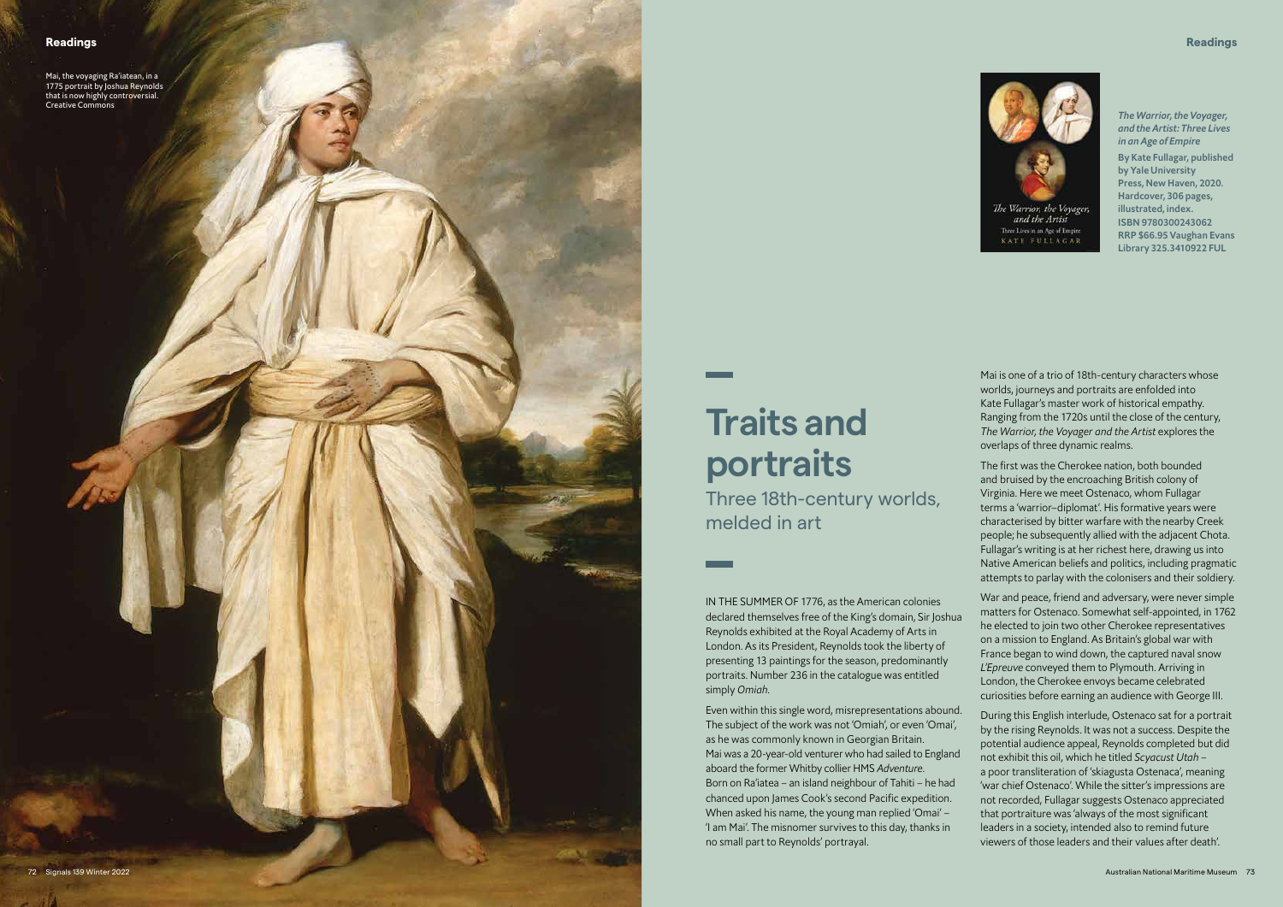

## **Traits and portraits**

Three 18th-century worlds, melded in art

IN THE SUMMER OF 1776, as the American colonies declared themselves free of the King's domain, Sir Joshua Reynolds exhibited at the Royal Academy of Arts in London. As its President, Reynolds took the liberty of presenting 13 paintings for the season, predominantly portraits. Number 236 in the catalogue was entitled simply *Omiah* .

Even within this single word, misrepresentations abound. The subject of the work was not 'Omiah', or even 'Omai', as he was commonly known in Georgian Britain. Mai was a 20-year-old venturer who had sailed to England aboard the former Whitby collier HMS *Adventure*. Born on Ra'iatea – an island neighbour of Tahiti – he had chanced upon James Cook's second Pacific expedition. When asked his name, the young man replied 'Omai' – 'I am Mai'. The misnomer survives to this day, thanks in no small part to Reynolds' portrayal.

Mai is one of a trio of 18th-century characters whose worlds, journeys and portraits are enfolded into Kate Fullagar's master work of historical empathy. Ranging from the 1720s until the close of the century, *The Warrior, the Voyager and the Artist* explores the overlaps of three dynamic realms.

The first was the Cherokee nation, both bounded and bruised by the encroaching British colony of Virginia. Here we meet Ostenaco, whom Fullagar terms a 'warrior–diplomat'. His formative years were characterised by bitter warfare with the nearby Creek people; he subsequently allied with the adjacent Chota. Fullagar's writing is at her richest here, drawing us into Native American beliefs and politics, including pragmatic attempts to parlay with the colonisers and their soldiery.

War and peace, friend and adversary, were never simple matters for Ostenaco. Somewhat self-appointed, in 1762 he elected to join two other Cherokee representatives on a mission to England. As Britain's global war with France began to wind down, the captured naval snow *L'Epreuve* conveyed them to Plymouth. Arriving in London, the Cherokee envoys became celebrated curiosities before earning an audience with George III.

During this English interlude, Ostenaco sat for a portrait by the rising Reynolds. It was not a success. Despite the potential audience appeal, Reynolds completed but did not exhibit this oil, which he titled *Scyacust Utah* – a poor transliteration of 'skiagusta Ostenaca', meaning 'war chief Ostenaco'. While the sitter's impressions are not recorded, Fullagar suggests Ostenaco appreciated that portraiture was 'always of the most significant leaders in a society, intended also to remind future viewers of those leaders and their values after death'.

*The Warrior, the Voyager, and the Artist: Three Lives in an Age of Empire*

By Kate Fullagar, published by Yale University Press, New Haven, 2020. Hardcover, 306 pages, illustrated, index. ISBN 9780300243062 RRP \$66.95 Vaughan Evans Library 325.3410922 FUL

Mai, the voyaging Ra'iatean, in a 1775 portrait by Joshua Reynolds that is now highly controversial. Creative Commons